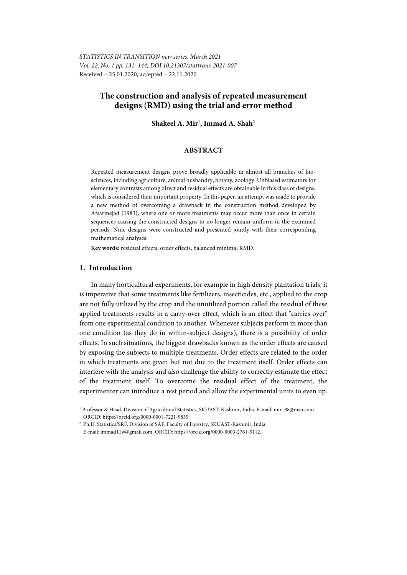## **The construction and analysis of repeated measurement designs (RMD) using the trial and error method**

### **Shakeel A. Mir**<sup>1</sup> **, Immad A. Shah**<sup>2</sup>

#### **ABSTRACT**

Repeated measurement designs prove broadly applicable in almost all branches of biosciences, including agriculture, animal husbandry, botany, zoology. Unbiased estimators for elementary contrasts among direct and residual effects are obtainable in this class of designs, which is considered their important property. In this paper, an attempt was made to provide a new method of overcoming a drawback in the construction method developed by Afsarinejad (1983), where one or more treatments may occur more than once in certain sequences causing the constructed designs to no longer remain uniform in the examined periods. Nine designs were constructed and presented jointly with their corresponding mathematical analyses.

**Key words:** residual effects, order effects, balanced minimal RMD.

#### **1. Introduction**

l

In many horticultural experiments, for example in high density plantation trials, it is imperative that some treatments like fertilizers, insecticides, etc., applied to the crop are not fully utilized by the crop and the unutilized portion called the residual of these applied treatments results in a carry-over effect, which is an effect that "carries over" from one experimental condition to another. Whenever subjects perform in more than one condition (as they do in within-subject designs), there is a possibility of order effects. In such situations, the biggest drawbacks known as the order effects are caused by exposing the subjects to multiple treatments. Order effects are related to the order in which treatments are given but not due to the treatment itself. Order effects can interfere with the analysis and also challenge the ability to correctly estimate the effect of the treatment itself. To overcome the residual effect of the treatment, the experimenter can introduce a rest period and allow the experimental units to even up.

<sup>1</sup> Professor & Head, Division of Agricultural Statistics, SKUAST-Kashmir, India. E-mail: mir\_98@msn.com. ORCID: https://orcid.org/0000-0001-7221-9835.

<sup>&</sup>lt;sup>2</sup> Ph.D. Statistics/SRF, Division of SAF, Faculty of Forestry, SKUAST-Kashmir, India. E-mail: immad11w@gmail.com. ORCID: https://orcid.org/0000-0003-2761-5112.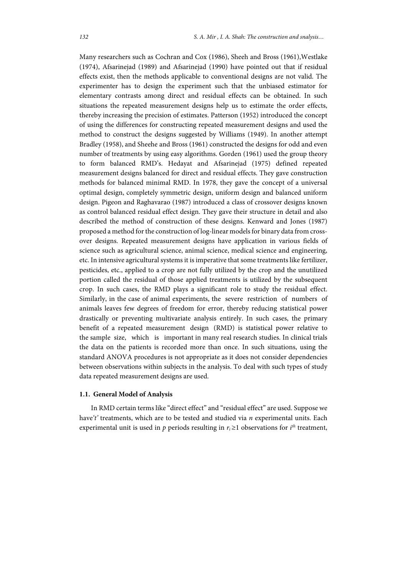Many researchers such as Cochran and Cox (1986), Sheeh and Bross (1961),Westlake (1974), Afsarinejad (1989) and Afsarinejad (1990) have pointed out that if residual effects exist, then the methods applicable to conventional designs are not valid. The experimenter has to design the experiment such that the unbiased estimator for elementary contrasts among direct and residual effects can be obtained. In such situations the repeated measurement designs help us to estimate the order effects, thereby increasing the precision of estimates. Patterson (1952) introduced the concept of using the differences for constructing repeated measurement designs and used the method to construct the designs suggested by Williams (1949). In another attempt Bradley (1958), and Sheehe and Bross (1961) constructed the designs for odd and even number of treatments by using easy algorithms. Gorden (1961) used the group theory to form balanced RMD's. Hedayat and Afsarinejad (1975) defined repeated measurement designs balanced for direct and residual effects. They gave construction methods for balanced minimal RMD. In 1978, they gave the concept of a universal optimal design, completely symmetric design, uniform design and balanced uniform design. Pigeon and Raghavarao (1987) introduced a class of crossover designs known as control balanced residual effect design. They gave their structure in detail and also described the method of construction of these designs. Kenward and Jones (1987) proposed a method for the construction of log-linear models for binary data from crossover designs. Repeated measurement designs have application in various fields of science such as agricultural science, animal science, medical science and engineering, etc. In intensive agricultural systems it is imperative that some treatments like fertilizer, pesticides, etc., applied to a crop are not fully utilized by the crop and the unutilized portion called the residual of those applied treatments is utilized by the subsequent crop. In such cases, the RMD plays a significant role to study the residual effect. Similarly, in the case of animal experiments, the severe restriction of numbers of animals leaves few degrees of freedom for error, thereby reducing statistical power drastically or preventing multivariate analysis entirely. In such cases, the primary benefit of a repeated measurement design (RMD) is statistical power relative to the sample size, which is important in many real research studies. In clinical trials the data on the patients is recorded more than once. In such situations, using the standard ANOVA procedures is not appropriate as it does not consider dependencies between observations within subjects in the analysis. To deal with such types of study data repeated measurement designs are used.

#### **1.1. General Model of Analysis**

In RMD certain terms like "direct effect" and "residual effect" are used. Suppose we have*'t'* treatments, which are to be tested and studied via *n* experimental units. Each experimental unit is used in  $p$  periods resulting in  $r_i \geq 1$  observations for  $i<sup>th</sup>$  treatment,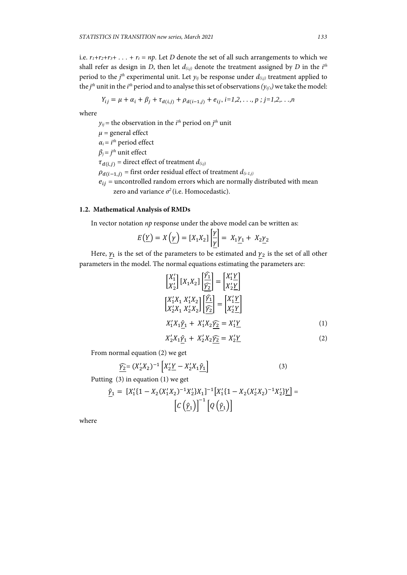i.e.  $r_1+r_2+r_3+r_3+r_4=r$ , Let *D* denote the set of all such arrangements to which we shall refer as design in *D*, then let  $d_{(i,j)}$  denote the treatment assigned by *D* in the  $i^{th}$ period to the  $j<sup>th</sup>$  experimental unit. Let  $y_{ij}$  be response under  $d_{(i,j)}$  treatment applied to the *j*<sup>th</sup> unit in the *i*<sup>th</sup> period and to analyse this set of observations  $(y_{ij})$  we take the model:

$$
Y_{ij} = \mu + \alpha_i + \beta_j + \tau_{d(i,j)} + \rho_{d(i-1,j)} + e_{ij}, i=1,2,\ldots,p; j=1,2,\ldots,n
$$

where

 $y_{ij}$  = the observation in the *i*<sup>th</sup> period on *j*<sup>th</sup> unit  $\mu$  = general effect *αi*= *i th* period effect *βj* = *j th* unit effect  $\tau_{d(i,j)}$  = direct effect of treatment  $d_{(i,j)}$  $\rho_{d(i-1,j)}$  = first order residual effect of treatment  $d_{(i-1,j)}$  $e_{ij}$  = uncontrolled random errors which are normally distributed with mean zero and variance  $\sigma^2$  (i.e. Homocedastic).

#### **1.2. Mathematical Analysis of RMDs**

In vector notation *np* response under the above model can be written as:

$$
E(\underline{Y}) = X(\underline{\gamma}) = [X_1 X_2] \left[ \frac{\gamma}{\underline{\gamma}} \right] = X_1 \underline{\gamma}_1 + X_2 \underline{\gamma}_2
$$

Here,  $\gamma_1$  is the set of the parameters to be estimated and  $\gamma_2$  is the set of all other parameters in the model. The normal equations estimating the parameters are:

$$
\begin{aligned}\n\begin{bmatrix}\nX_1' \\
X_2'\n\end{bmatrix}\n\begin{bmatrix}\nX_1 X_2\n\end{bmatrix}\n\begin{bmatrix}\n\frac{\hat{Y_1}}{\hat{Y_2}}\n\end{bmatrix} &=\n\begin{bmatrix}\nX_1' \underline{Y} \\
X_2' \underline{Y}\n\end{bmatrix} \\
\begin{bmatrix}\nX_1' X_1 & X_1' X_2 \\
X_2' X_1 & X_2' X_2\n\end{bmatrix}\n\begin{bmatrix}\n\frac{\hat{Y_1}}{\hat{Y_2}}\n\end{bmatrix} &=\n\begin{bmatrix}\nX_1' \underline{Y} \\
X_2' \underline{Y}\n\end{bmatrix} \\
X_1' X_1 \hat{Y_1} + X_1' X_2 \hat{Y_2} &= X_1' Y \\
Y_1' Y_2 Y_3 &= Y_1' Y\n\end{aligned} \tag{1}
$$

$$
X_2'X_1\hat{Y}_1 + X_2'X_2\hat{Y}_2 = X_2'Y
$$
\n<sup>(2)</sup>

From normal equation (2) we get

$$
\widehat{Y_2} = (X_2'X_2)^{-1} \left[ X_2'Y - X_2'X_1 \hat{Y}_1 \right]
$$
\n(3)

Putting (3) in equation (1) we get

$$
\underline{\hat{Y}}_1 = [X_1'\{1 - X_2(X_1'X_2)^{-1}X_2'\}X_1]^{-1}[X_1'\{1 - X_2(X_2'X_2)^{-1}X_2'\}Y] = \left[C\left(\underline{\hat{Y}}_1\right)\right]^{-1}\left[Q\left(\underline{\hat{Y}}_1\right)\right]
$$

where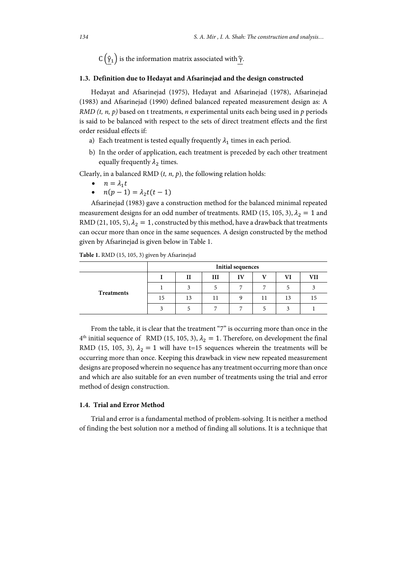$C(\hat{\gamma}_1)$  is the information matrix associated with  $\hat{\gamma}$ .

#### **1.3. Definition due to Hedayat and Afsarinejad and the design constructed**

Hedayat and Afsarinejad (1975), Hedayat and Afsarinejad (1978), Afsarinejad (1983) and Afsarinejad (1990) defined balanced repeated measurement design as: A *RMD (t, n, p)* based on t treatments, *n* experimental units each being used in *p* periods is said to be balanced with respect to the sets of direct treatment effects and the first order residual effects if:

- a) Each treatment is tested equally frequently  $\lambda_1$  times in each period.
- b) In the order of application, each treatment is preceded by each other treatment equally frequently  $\lambda_2$  times.

Clearly, in a balanced RMD (*t, n, p*), the following relation holds:

- $n = \lambda_1 t$
- $n(p-1) = \lambda_2 t(t-1)$

Afsarinejad (1983) gave a construction method for the balanced minimal repeated measurement designs for an odd number of treatments. RMD (15, 105, 3),  $\lambda_2 = 1$  and RMD (21, 105, 5),  $\lambda_2 = 1$ , constructed by this method, have a drawback that treatments can occur more than once in the same sequences. A design constructed by the method given by Afsarinejad is given below in Table 1.

**Table 1.** RMD (15, 105, 3) given by Afsarinejad

|            | <b>Initial sequences</b> |              |              |    |                |    |            |  |  |
|------------|--------------------------|--------------|--------------|----|----------------|----|------------|--|--|
| Treatments |                          | $\mathbf{H}$ | III          | IV | T T            | VI | <b>VII</b> |  |  |
|            |                          | 2            |              | -  | $\overline{ }$ |    |            |  |  |
|            | 15                       | 13           | $\mathbf{L}$ | Q  | 11             | 13 |            |  |  |
|            |                          |              |              | −  |                |    |            |  |  |

From the table, it is clear that the treatment "7" is occurring more than once in the  $4<sup>th</sup>$  initial sequence of RMD (15, 105, 3),  $\lambda_2 = 1$ . Therefore, on development the final RMD (15, 105, 3),  $\lambda_2 = 1$  will have t=15 sequences wherein the treatments will be occurring more than once. Keeping this drawback in view new repeated measurement designs are proposed wherein no sequence has any treatment occurring more than once and which are also suitable for an even number of treatments using the trial and error method of design construction.

#### **1.4. Trial and Error Method**

Trial and error is a fundamental method of problem-solving. It is neither a method of finding the best solution nor a method of finding all solutions. It is a technique that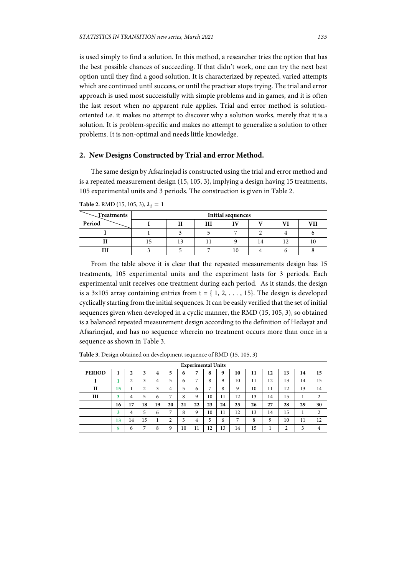is used simply to find a solution. In this method, a researcher tries the option that has the best possible chances of succeeding. If that didn't work, one can try the next best option until they find a good solution. It is characterized by repeated, varied attempts which are continued until success, or until the practiser stops trying. The trial and error approach is used most successfully with simple problems and in games, and it is often the last resort when no apparent rule applies. Trial and error method is solutionoriented i.e. it makes no attempt to discover why a solution works, merely that it is a solution. It is problem-specific and makes no attempt to generalize a solution to other problems. It is non-optimal and needs little knowledge.

#### **2. New Designs Constructed by Trial and error Method.**

The same design by Afsarinejad is constructed using the trial and error method and is a repeated measurement design (15, 105, 3), implying a design having 15 treatments, 105 experimental units and 3 periods. The construction is given in Table 2.

| Treatments |    | <b>Initial sequences</b> |  |    |    |              |  |  |  |
|------------|----|--------------------------|--|----|----|--------------|--|--|--|
| Period     |    |                          |  | īV |    | $\mathbf{V}$ |  |  |  |
|            |    |                          |  |    |    |              |  |  |  |
| 11         | 15 | IJ                       |  |    | 14 |              |  |  |  |
|            |    |                          |  | 10 |    |              |  |  |  |

**Table 2.** RMD (15, 105, 3),  $\lambda_2 = 1$ 

From the table above it is clear that the repeated measurements design has 15 treatments, 105 experimental units and the experiment lasts for 3 periods. Each experimental unit receives one treatment during each period. As it stands, the design is a 3x105 array containing entries from  $t = \{1, 2, \ldots, 15\}$ . The design is developed cyclically starting from the initial sequences. It can be easily verified that the set of initial sequences given when developed in a cyclic manner, the RMD (15, 105, 3), so obtained is a balanced repeated measurement design according to the definition of Hedayat and Afsarinejad, and has no sequence wherein no treatment occurs more than once in a sequence as shown in Table 3.

| <b>Experimental Units</b> |    |                    |        |                         |                |    |    |                |    |    |    |    |               |    |                |
|---------------------------|----|--------------------|--------|-------------------------|----------------|----|----|----------------|----|----|----|----|---------------|----|----------------|
| <b>PERIOD</b>             | л  | 2                  | 3      | $\overline{\mathbf{4}}$ | 5              | 6  | 7  | 8              | 9  | 10 | 11 | 12 | 13            | 14 | 15             |
|                           |    | $\mathcal{L}$<br>∠ | 3      | 4                       | 5              | 6  | 7  | 8              | Q  | 10 | 11 | 12 | 13            | 14 | 15             |
| H                         | 15 |                    | ↑<br>∠ | 3                       | 4              | 5  | 6  | $\overline{ }$ | 8  | 9  | 10 | 11 | 12            | 13 | 14             |
| Ш                         | 3  | 4                  | 5      | 6                       | $\overline{ }$ | 8  | 9  | 10             | 11 | 12 | 13 | 14 | 15            | ı  | $\overline{c}$ |
|                           | 16 | 17                 | 18     | 19                      | 20             | 21 | 22 | 23             | 24 | 25 | 26 | 27 | 28            | 29 | 30             |
|                           | 3  | 4                  | 5      | 6                       | $\overline{ }$ | 8  | 9  | 10             | 11 | 12 | 13 | 14 | 15            | J. | ↑              |
|                           | 13 | 14                 | 15     |                         | $\overline{c}$ | 3  | 4  | 5              | 6  | 7  | 8  | 9  | 10            | 11 | 12             |
|                           | 5  | 6                  | ⇁      | 8                       | 9              | 10 | 11 | 12             | 13 | 14 | 15 |    | $\mathcal{L}$ | 3  | 4              |

**Table 3.** Design obtained on development sequence of RMD (15, 105, 3)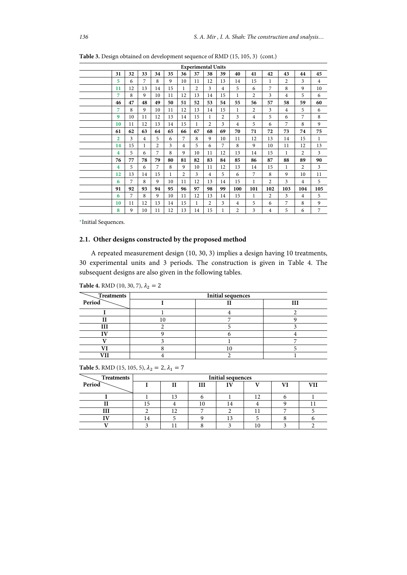|                         |    |                |                |    |                | <b>Experimental Units</b> |                |                |                |                |                |                |                |                |
|-------------------------|----|----------------|----------------|----|----------------|---------------------------|----------------|----------------|----------------|----------------|----------------|----------------|----------------|----------------|
| 31                      | 32 | 33             | 34             | 35 | 36             | 37                        | 38             | 39             | 40             | 41             | 42             | 43             | 44             | 45             |
| 5                       | 6  | 7              | 8              | 9  | 10             | 11                        | 12             | 13             | 14             | 15             | 1              | 2              | 3              | $\overline{4}$ |
| 11                      | 12 | 13             | 14             | 15 | 1              | 2                         | 3              | 4              | 5              | 6              | 7              | 8              | 9              | 10             |
| 7                       | 8  | 9              | 10             | 11 | 12             | 13                        | 14             | 15             | 1              | $\overline{c}$ | 3              | 4              | 5              | 6              |
| 46                      | 47 | 48             | 49             | 50 | 51             | 52                        | 53             | 54             | 55             | 56             | 57             | 58             | 59             | 60             |
| 7                       | 8  | 9              | 10             | 11 | 12             | 13                        | 14             | 15             | 1              | 2              | 3              | $\overline{4}$ | 5              | 6              |
| 9                       | 10 | 11             | 12             | 13 | 14             | 15                        | 1              | $\overline{c}$ | 3              | $\overline{4}$ | 5              | 6              | 7              | 8              |
| 10                      | 11 | 12             | 13             | 14 | 15             | 1                         | $\mathfrak{D}$ | 3              | 4              | 5              | 6              | 7              | 8              | 9              |
| 61                      | 62 | 63             | 64             | 65 | 66             | 67                        | 68             | 69             | 70             | 71             | 72             | 73             | 74             | 75             |
| 2                       | 3  | $\overline{4}$ | 5              | 6  | 7              | 8                         | 9              | 10             | 11             | 12             | 13             | 14             | 15             | 1              |
| 14                      | 15 | 1              | $\overline{c}$ | 3  | 4              | 5                         | 6              | 7              | 8              | 9              | 10             | 11             | 12             | 13             |
| 4                       | 5  | 6              | 7              | 8  | 9              | 10                        | 11             | 12             | 13             | 14             | 15             | 1              | $\overline{c}$ | 3              |
| 76                      | 77 | 78             | 79             | 80 | 81             | 82                        | 83             | 84             | 85             | 86             | 87             | 88             | 89             | 90             |
| $\overline{\mathbf{4}}$ | 5  | 6              | 7              | 8  | 9              | 10                        | 11             | 12             | 13             | 14             | 15             | 1              | $\overline{c}$ | 3              |
| 12                      | 13 | 14             | 15             | 1  | $\overline{c}$ | 3                         | $\overline{4}$ | 5              | 6              | 7              | 8              | 9              | 10             | 11             |
| 6                       | 7  | 8              | 9              | 10 | 11             | 12                        | 13             | 14             | 15             | 1              | $\overline{c}$ | 3              | 4              | 5              |
| 91                      | 92 | 93             | 94             | 95 | 96             | 97                        | 98             | 99             | 100            | 101            | 102            | 103            | 104            | 105            |
| 6                       | 7  | 8              | $\mathbf{Q}$   | 10 | 11             | 12                        | 13             | 14             | 15             | 1              | $\overline{2}$ | 3              | $\overline{4}$ | 5              |
| 10                      | 11 | 12             | 13             | 14 | 15             | 1                         | $\overline{c}$ | 3              | 4              | 5              | 6              | 7              | 8              | 9              |
| 8                       | 9  | 10             | 11             | 12 | 13             | 14                        | 15             | 1              | $\overline{c}$ | 3              | 4              | 5              | 6              | 7              |

**Table 3.** Design obtained on development sequence of RMD (15, 105, 3) (cont.)

\*Initial Sequences.

## **2.1. Other designs constructed by the proposed method**

A repeated measurement design (10, 30, 3) implies a design having 10 treatments, 30 experimental units and 3 periods. The construction is given in Table 4. The subsequent designs are also given in the following tables.

| <b>Table 4.</b> RMD (10, 30, 7), $\lambda_2 = 2$ |  |  |  |
|--------------------------------------------------|--|--|--|
|--------------------------------------------------|--|--|--|

| Treatments | <b>Initial sequences</b> |  |     |  |  |  |  |  |
|------------|--------------------------|--|-----|--|--|--|--|--|
| Period     |                          |  | TTI |  |  |  |  |  |
|            |                          |  |     |  |  |  |  |  |
|            |                          |  |     |  |  |  |  |  |
|            |                          |  |     |  |  |  |  |  |
|            |                          |  |     |  |  |  |  |  |
|            |                          |  |     |  |  |  |  |  |
|            |                          |  |     |  |  |  |  |  |
|            |                          |  |     |  |  |  |  |  |

| <b>Table 5.</b> RMD (15, 105, 5), $\lambda_2 = 2$ , $\lambda_1 = 7$ |  |  |  |
|---------------------------------------------------------------------|--|--|--|

| Treatments |    | Initial sequences |   |     |    |    |     |  |  |
|------------|----|-------------------|---|-----|----|----|-----|--|--|
| Period     |    |                   | Ш | TT) |    | Vì | VII |  |  |
|            |    |                   |   |     |    |    |     |  |  |
|            |    | 15                |   |     |    |    |     |  |  |
|            |    |                   |   | 4   |    |    |     |  |  |
|            |    |                   |   |     |    |    |     |  |  |
|            | 14 |                   |   |     |    |    |     |  |  |
|            |    |                   |   |     | 10 |    |     |  |  |
|            |    |                   |   |     |    |    |     |  |  |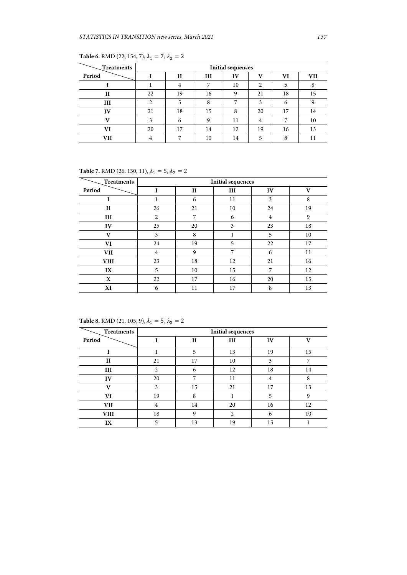| Treatments |    | <b>Initial sequences</b> |                |    |              |    |     |  |  |
|------------|----|--------------------------|----------------|----|--------------|----|-----|--|--|
| Period     |    | $_{II}$                  | Ш              | IV | $\mathbf{v}$ | VI | VII |  |  |
|            |    | $\overline{4}$           | $\overline{ }$ | 10 | 2            | 5  | 8   |  |  |
| Н          | 22 | 19                       | 16             | 9  | 21           | 18 | 15  |  |  |
| Ш          | ∍  | 5                        | $\Omega$       |    | 3            | 6  |     |  |  |
| IV         | 21 | 18                       | 15             | 8  | 20           | 17 | 14  |  |  |
|            | 3  | 6                        | Ω              | 11 |              |    | 10  |  |  |
| VI         | 20 | 17                       | 14             | 12 | 19           | 16 | 13  |  |  |
|            |    | ⇁                        | 10             | 14 |              | 8  |     |  |  |

**Table 6.** RMD (22, 154, 7),  $\lambda_1 = 7$ ,  $\lambda_2 = 2$ 

**Table 7.** RMD (26, 130, 11),  $\lambda_1 = 5$ ,  $\lambda_2 = 2$ 

| <b>Treatments</b> | <b>Initial sequences</b> |              |    |                |    |  |  |  |
|-------------------|--------------------------|--------------|----|----------------|----|--|--|--|
| Period            | I                        | $\mathbf{I}$ | Ш  | IV             | V  |  |  |  |
|                   |                          | 6            | 11 | 3              | 8  |  |  |  |
| $\mathbf{I}$      | 26                       | 21           | 10 | 24             | 19 |  |  |  |
| III               | $\overline{2}$           | 7            | 6  | $\overline{4}$ | 9  |  |  |  |
| IV                | 25                       | 20           | 3  | 23             | 18 |  |  |  |
| $\mathbf{V}$      | 3                        | 8            | 1  | 5              | 10 |  |  |  |
| VI                | 24                       | 19           | 5  | 22             | 17 |  |  |  |
| <b>VII</b>        | 4                        | 9            | 7  | 6              | 11 |  |  |  |
| <b>VIII</b>       | 23                       | 18           | 12 | 21             | 16 |  |  |  |
| IX                | 5                        | 10           | 15 | 7              | 12 |  |  |  |
| X                 | 22                       | 17           | 16 | 20             | 15 |  |  |  |
| XI                | 6                        | 11           | 17 | 8              | 13 |  |  |  |

**Table 8.** RMD (21, 105, 9),  $\lambda_1 = 5$ ,  $\lambda_2 = 2$ 

| Treatments   | <b>Initial sequences</b> |              |                |    |              |  |  |  |  |
|--------------|--------------------------|--------------|----------------|----|--------------|--|--|--|--|
| Period       |                          | $\mathbf{H}$ | Ш              | IV | $\mathbf{v}$ |  |  |  |  |
|              |                          | 5            | 13             | 19 | 15           |  |  |  |  |
| $\mathbf{I}$ | 21                       | 17           | 10             | 3  |              |  |  |  |  |
| Ш            | 2                        | 6            | 12             | 18 | 14           |  |  |  |  |
| IV           | 20                       | 7            | 11             | 4  | 8            |  |  |  |  |
| $\mathbf{V}$ | 3                        | 15           | 21             | 17 | 13           |  |  |  |  |
| VI           | 19                       | 8            |                | 5  | 9            |  |  |  |  |
| VII          | 4                        | 14           | 20             | 16 | 12           |  |  |  |  |
| <b>VIII</b>  | 18                       | $\mathbf Q$  | $\overline{c}$ | 6  | 10           |  |  |  |  |
| IX           | 5                        | 13           | 19             | 15 |              |  |  |  |  |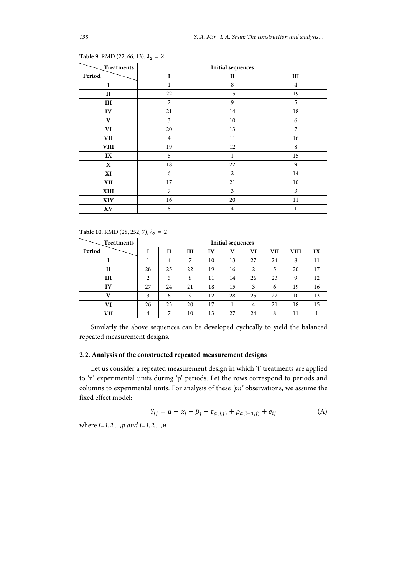| Treatments             |                | <b>Initial sequences</b> |                |  |  |  |  |  |  |
|------------------------|----------------|--------------------------|----------------|--|--|--|--|--|--|
| Period                 | 1              | П                        | Ш              |  |  |  |  |  |  |
| I                      | 1              | 8                        | $\overline{4}$ |  |  |  |  |  |  |
| $_{\rm II}$            | 22             | 15                       | 19             |  |  |  |  |  |  |
| $\rm III$              | $\overline{2}$ | 9                        | 5              |  |  |  |  |  |  |
| IV                     | 21             | 14                       | 18             |  |  |  |  |  |  |
| V                      | 3              | 10                       | 6              |  |  |  |  |  |  |
| VI                     | 20             | 13                       | 7              |  |  |  |  |  |  |
| VII                    | $\overline{4}$ | 11                       | 16             |  |  |  |  |  |  |
| ${\bf VIII}$           | 19             | 12                       | 8              |  |  |  |  |  |  |
| IX                     | 5              | 1                        | 15             |  |  |  |  |  |  |
| $\mathbf X$            | 18             | 22                       | 9              |  |  |  |  |  |  |
| XI                     | 6              | $\overline{2}$           | 14             |  |  |  |  |  |  |
| XII                    | 17             | 21                       | 10             |  |  |  |  |  |  |
| XIII                   | 7              | 3                        | 3              |  |  |  |  |  |  |
| XIV                    | 16             | 20                       | 11             |  |  |  |  |  |  |
| $\mathbf{X}\mathbf{V}$ | 8              | $\overline{4}$           | 1              |  |  |  |  |  |  |

**Table 9.** RMD (22, 66, 13),  $\lambda_2 = 2$ 

**Table 10.** RMD (28, 252, 7),  $\lambda_2 = 2$ 

| Treatments   | <b>Initial sequences</b> |    |    |    |    |        |     |      |    |
|--------------|--------------------------|----|----|----|----|--------|-----|------|----|
| Period       |                          | Н  | Ш  | IV | v  | VI     | VII | VIII | IX |
|              |                          | 4  | 7  | 10 | 13 | 27     | 24  | 8    | 11 |
| $\mathbf{I}$ | 28                       | 25 | 22 | 19 | 16 | ി<br>∠ | 5   | 20   | 17 |
| Ш            | 2                        | 5  | 8  | 11 | 14 | 26     | 23  | 9    | 12 |
| IV           | 27                       | 24 | 21 | 18 | 15 | 3      | 6   | 19   | 16 |
| T7           | 3                        | 6  | 9  | 12 | 28 | 25     | 22  | 10   | 13 |
| VI           | 26                       | 23 | 20 | 17 |    | 4      | 21  | 18   | 15 |
| VII          | 4                        | 7  | 10 | 13 | 27 | 24     | 8   | 11   |    |

Similarly the above sequences can be developed cyclically to yield the balanced repeated measurement designs.

### **2.2. Analysis of the constructed repeated measurement designs**

Let us consider a repeated measurement design in which 't' treatments are applied to 'n' experimental units during 'p' periods. Let the rows correspond to periods and columns to experimental units. For analysis of these *'pn'* observations, we assume the fixed effect model:

$$
Y_{ij} = \mu + \alpha_i + \beta_j + \tau_{d(i,j)} + \rho_{d(i-1,j)} + e_{ij}
$$
 (A)

where *i=1,2,...,p and j=1,2,...,n*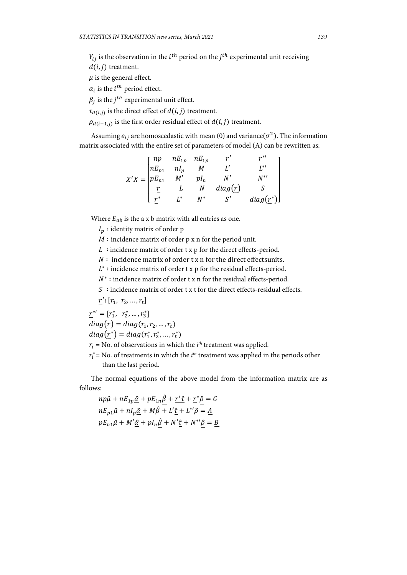$Y_{ij}$  is the observation in the  $i^{th}$  period on the  $j^{th}$  experimental unit receiving

 $d(i, j)$  treatment.

 $\mu$  is the general effect.

 $\alpha_i$  is the *i*<sup>th</sup> period effect.

 $\beta_i$  is the *j*<sup>th</sup> experimental unit effect.

 $\tau_{d(i,j)}$  is the direct effect of  $d(i,j)$  treatment.

 $\rho_{d(i-1,j)}$  is the first order residual effect of  $d(i, j)$  treatment.

Assuming  $e_{ij}$  are homoscedastic with mean (0) and variance( $\sigma^2$ ). The information matrix associated with the entire set of parameters of model (A) can be rewritten as:

$$
X'X = \begin{bmatrix} np & nE_{1p} & nE_{1p} & \underline{r}' & \underline{r}^{*'} \\ nE_{p1} & nI_p & M & L' & L^{*'} \\ pE_{n1} & M' & pI_n & N' & N^{*'} \\ \underline{r} & L & N & diag(\underline{r}) & S \\ \underline{r}^{*} & L^{*} & N^{*} & S' & diag(\underline{r}^{*}) \end{bmatrix}
$$

Where  $E_{ab}$  is the a x b matrix with all entries as one.

 $I_n$ : identity matrix of order p

*M* ∶ incidence matrix of order p x n for the period unit.

 $L:$  incidence matrix of order t x p for the direct effects-period.

 $N$ : incidence matrix of order t x n for the direct effectsunits.

 $L^*$  : incidence matrix of order t x p for the residual effects-period.

 $N^*$  : incidence matrix of order t x n for the residual effects-period.

∶ incidence matrix of order t x t for the direct effects-residual effects.

 $\underline{r}'$ :  $[r_1, r_2, ..., r_t]$ 

$$
\underline{r}^{*'} = [r_1^*, r_2^*, \dots, r_3^*]
$$

 $diag(r_1) = diag(r_1, r_2, ..., r_t)$ 

 $diag(\underline{r}^*) = diag(r_1^*, r_2^*, \dots, r_t^*)$ 

 $r_i$  = No. of observations in which the  $i^{th}$  treatment was applied.

 $r_i^*$  = No. of treatments in which the  $i^{th}$  treatment was applied in the periods other than the last period.

The normal equations of the above model from the information matrix are as follows:

$$
np\hat{\mu} + nE_{1p}\hat{\underline{\alpha}} + pE_{1n}\hat{\underline{\beta}} + \underline{r'\hat{\tau}} + \underline{r^*\hat{\underline{\rho}}} = G
$$
  

$$
nE_{p1}\hat{\mu} + nI_p\hat{\underline{\alpha}} + M\hat{\underline{\beta}} + L'\hat{\underline{\tau}} + L^*\hat{\underline{\rho}} = \underline{A}
$$
  

$$
pE_{n1}\hat{\mu} + M'\hat{\underline{\alpha}} + pI_n\hat{\underline{\beta}} + N'\hat{\underline{\tau}} + N^*\hat{\underline{\rho}} = \underline{B}
$$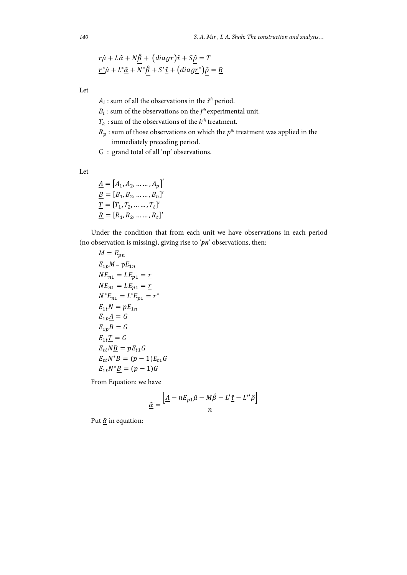$$
\underline{r}\hat{\mu} + L\underline{\hat{\alpha}} + N\underline{\hat{\beta}} + (diag\underline{r})\hat{\underline{\tau}} + S\underline{\hat{\rho}} = \underline{T}
$$
  

$$
\underline{r^*\hat{\mu}} + L^*\underline{\hat{\alpha}} + N^*\hat{\beta} + S'\underline{\hat{\tau}} + (diag\underline{r^*})\hat{\rho} = \underline{R}
$$

Let

 $A_i$ : sum of all the observations in the  $i^{th}$  period.

 $B_i$ : sum of the observations on the *j*<sup>th</sup> experimental unit.

 $T_k$  : sum of the observations of the  $k^{th}$  treatment.

- $R_p$ : sum of those observations on which the  $p<sup>th</sup>$  treatment was applied in the immediately preceding period.
- G : grand total of all 'np' observations.

Let

 $\underline{A} = [A_1, A_2, \dots \dots, A_p]'$  $B = [B_1, B_2, \dots, B_n]'$  $\underline{T} = [T_1, T_2, \dots, T_t]'$  $R = [R_1, R_2, \dots, R_t]'$ 

Under the condition that from each unit we have observations in each period (no observation is missing), giving rise to '*pn*' observations, then:

 $M = E_{nn}$  $E_{1n}M = pE_{1n}$  $NE_{n1} = LE_{n1} = r$  $NE_{n1} = LE_{p1} = \underline{r}$  $N^*E_{n1} = L^*E_{n1} = r^*$  $E_{1t}N = pE_{1n}$  $E_{1p}\underline{A}=G$  $E_{1p}B = G$  $E_{1t}T = G$  $E_{tt}NB = pE_{t1}G$  $E_{tt}N^* \underline{B} = (p-1)E_{t1}G$  $E_{1t}N^*B = (p-1)G$ 

From Equation: we have

$$
\underline{\hat{\alpha}} = \frac{\left[\underline{A} - nE_{p1}\hat{\mu} - M\hat{\underline{\beta}} - L'\underline{\hat{\tau}} - L''\underline{\hat{\rho}}\right]}{n}
$$

Put  $\hat{\alpha}$  in equation: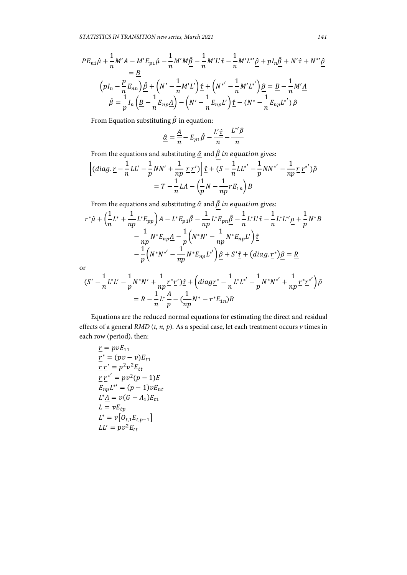$$
PE_{n1}\hat{\mu} + \frac{1}{n}M'\underline{A} - M'E_{p1}\hat{\mu} - \frac{1}{n}M'M\hat{\underline{\beta}} - \frac{1}{n}M'L'\hat{\underline{r}} - \frac{1}{n}M'L''\hat{\underline{\beta}} + pI_n\hat{\underline{\beta}} + N'\hat{\underline{\tau}} + N'''\hat{\underline{\beta}}
$$
  
\n
$$
= \underline{B}
$$
  
\n
$$
\left(pI_n - \frac{p}{n}E_{nn}\right)\hat{\underline{\beta}} + \left(N' - \frac{1}{n}M'L'\right)\hat{\underline{\tau}} + \left(N'' - \frac{1}{n}M'L'\right)\hat{\underline{\beta}} = \underline{B} - \frac{1}{n}M'\underline{A}
$$
  
\n
$$
\hat{\underline{\beta}} = \frac{1}{p}I_n\left(\underline{B} - \frac{1}{n}E_{np}\underline{A}\right) - \left(N' - \frac{1}{n}E_{np}L'\right)\hat{\underline{\tau}} - \left(N^* - \frac{1}{n}E_{np}L'\right)\hat{\underline{\beta}}
$$

From Equation substituting  $\underline{\hat{\beta}}$  in equation:

$$
\underline{\hat{\alpha}} = \frac{A}{n} - E_{p1}\hat{\beta} - \frac{L'\hat{\tau}}{n} - \frac{L''\hat{\beta}}{n}
$$

From the equations and substituting  $\underline{\hat{\alpha}}$  and<br>  $\underline{\hat{\beta}}$  in equation gives:

$$
\left[ (diag.\underline{r} - \frac{1}{n}LL' - \frac{1}{p}NN' + \frac{1}{np}\underline{r}\underline{r}') \right] \underline{\hat{r}} + (S - \frac{1}{n}LL^{*'} - \frac{1}{p}NN^{*'} - \frac{1}{np}\underline{r}\underline{r}^{*'})\hat{\rho}
$$

$$
= \underline{T} - \frac{1}{n}L\underline{A} - \left(\frac{1}{p}N - \frac{1}{np}\underline{r}E_{1n}\right)\underline{B}
$$

From the equations and substituting  $\hat{\alpha}$  and  $\hat{\beta}$  in equation gives:

$$
\underline{r^*\hat{\mu}} + \left(\frac{1}{n}L^* + \frac{1}{np}L^*E_{pp}\right)\underline{A} - L^*E_{p1}\hat{\beta} - \frac{1}{np}L^*E_{pn}\underline{\hat{\beta}} - \frac{1}{n}L^*L'\underline{\hat{\tau}} - \frac{1}{n}L^*L''\underline{\rho} + \frac{1}{p}N^*\underline{B}
$$

$$
- \frac{1}{np}N^*E_{np}\underline{A} - \frac{1}{p}\left(N^*N' - \frac{1}{np}N^*E_{np}L'\right)\underline{\hat{\tau}}
$$

$$
- \frac{1}{p}\left(N^*N^{*'} - \frac{1}{np}N^*E_{np}L^{*'}\right)\underline{\hat{\rho}} + S'\underline{\hat{\tau}} + \left(\text{diag}\cdot\underline{r^*}\right)\underline{\hat{\rho}} = \underline{R}
$$

or

$$
(S' - \frac{1}{n}L^*L' - \frac{1}{p}N^*N' + \frac{1}{np}r^*r')\hat{\underline{\tau}} + \left(diagr^* - \frac{1}{n}L^*L^{*'} - \frac{1}{p}N^*N^{*'} + \frac{1}{np}r^*r^{*'}\right)\hat{\underline{\rho}}
$$
  
=  $\underline{R} - \frac{1}{n}L^*\frac{A}{p} - (\frac{1}{np}N^* - r^*E_{1n})\underline{B}$ 

Equations are the reduced normal equations for estimating the direct and residual effects of a general *RMD* (*t, n, p*)*.* As a special case, let each treatment occurs *v* times in each row (period), then:

$$
\underline{r} = pvE_{11}
$$
\n
$$
\underline{r}^* = (pv - v)E_{t1}
$$
\n
$$
\underline{r} \underline{r}' = p^2 v^2 E_{tt}
$$
\n
$$
\underline{r} \underline{r'}^* = pv^2 (p - 1)E
$$
\n
$$
E_{np} L^{*'} = (p - 1) v E_{nt}
$$
\n
$$
L^* \underline{A} = v(G - A_1) E_{t1}
$$
\n
$$
L = v E_{tp}
$$
\n
$$
L^* = v[O_{t,1} E_{t,p-1}]
$$
\n
$$
L' = pv^2 E_{tt}
$$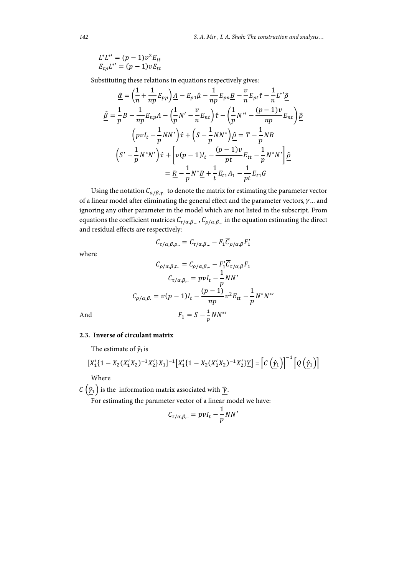$$
L^*L^{*'} = (p-1)v^2E_{tt}
$$
  

$$
E_{tp}L^{*'} = (p-1)vE_{tt}
$$

Substituting these relations in equations respectively gives:

$$
\begin{split}\n\hat{\underline{\alpha}} &= \left(\frac{1}{n} + \frac{1}{np} E_{pp}\right) \underline{A} - E_{p1} \hat{\mu} - \frac{1}{np} E_{pn} \underline{B} - \frac{v}{n} E_{pt} \hat{\tau} - \frac{1}{n} L^* \hat{\underline{\beta}} \\
\hat{\underline{\beta}} &= \frac{1}{p} \underline{B} - \frac{1}{np} E_{np} \underline{A} - \left(\frac{1}{p} N' - \frac{v}{n} E_{nt}\right) \hat{\underline{\tau}} - \left(\frac{1}{p} N^{*} - \frac{(p-1)v}{np} E_{nt}\right) \hat{\underline{\beta}} \\
&\quad \left(p v I_t - \frac{1}{p} N N'\right) \hat{\underline{\tau}} + \left(S - \frac{1}{p} N N^*\right) \hat{\underline{\beta}} = \underline{T} - \frac{1}{p} N \underline{B} \\
&\quad \left(S' - \frac{1}{p} N^* N'\right) \hat{\underline{\tau}} + \left[v(p-1) I_t - \frac{(p-1)v}{pt} E_{tt} - \frac{1}{p} N^* N'\right] \hat{\underline{\beta}} \\
&= \underline{R} - \frac{1}{p} N^* \underline{B} + \frac{1}{t} E_{t1} A_1 - \frac{1}{pt} E_{t1} G\n\end{split}
$$

Using the notation  $C_{a/\beta,\gamma}$  to denote the matrix for estimating the parameter vector of a linear model after eliminating the general effect and the parameter vectors,  $\gamma$ ... and ignoring any other parameter in the model which are not listed in the subscript. From equations the coefficient matrices  $C_{\tau/\alpha,\beta,\dots}$ ,  $C_{\rho/\alpha,\beta,\dots}$  in the equation estimating the direct and residual effects are respectively:

$$
C_{\tau/\alpha,\beta,\rho..} = C_{\tau/\alpha,\beta,..} - F_1 \overline{C}_{\rho/\alpha,\beta} F_1'
$$

where

$$
C_{\rho/\alpha,\beta,\tau} = C_{\rho/\alpha,\beta,\dots} - F_1' \overline{C}_{\tau/\alpha,\beta} F_1
$$

$$
C_{\tau/\alpha,\beta,\dots} = p v I_t - \frac{1}{p} N N'
$$

$$
C_{\rho/\alpha,\beta} = v(p-1)I_t - \frac{(p-1)}{np} v^2 E_{tt} - \frac{1}{p} N^* N^{*}
$$
And
$$
F_1 = S - \frac{1}{p} N N^{*}
$$

# **2.3. Inverse of circulant matrix**

The estimate of  $\hat{y}_1$  is

$$
[X_1'(1 - X_2(X_1'X_2)^{-1}X_2'X_1]^{-1}[X_1'(1 - X_2(X_2'X_2)^{-1}X_2']Y] = [C(\hat{y}_1)]^{-1}[Q(\hat{y}_1)]
$$
  
Where

 $c\left(\hat{\gamma}_1\right)$  is the information matrix associated with  $\hat{\gamma}$ .

For estimating the parameter vector of a linear model we have:

$$
C_{\tau/\alpha,\beta,\ldots} = pvI_t - \frac{1}{p}NN'
$$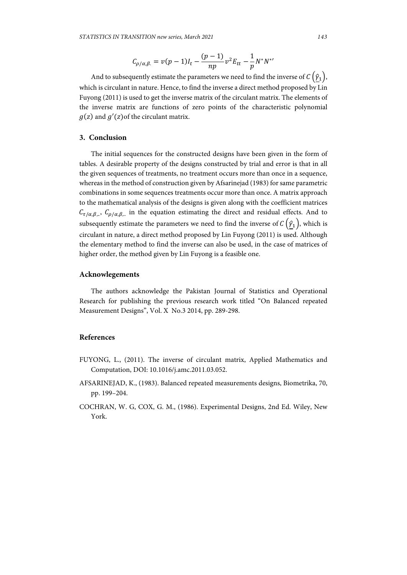$$
C_{\rho/\alpha,\beta} = v(p-1)I_t - \frac{(p-1)}{np}v^2 E_{tt} - \frac{1}{p}N^*N^{*}
$$

And to subsequently estimate the parameters we need to find the inverse of  $C(\hat{\gamma}_1)$ , which is circulant in nature. Hence, to find the inverse a direct method proposed by Lin Fuyong (2011) is used to get the inverse matrix of the circulant matrix. The elements of the inverse matrix are functions of zero points of the characteristic polynomial  $g(z)$  and  $g'(z)$  of the circulant matrix.

## **3. Conclusion**

The initial sequences for the constructed designs have been given in the form of tables. A desirable property of the designs constructed by trial and error is that in all the given sequences of treatments, no treatment occurs more than once in a sequence, whereas in the method of construction given by Afsarinejad (1983) for same parametric combinations in some sequences treatments occur more than once. A matrix approach to the mathematical analysis of the designs is given along with the coefficient matrices  $C_{\tau/\alpha,\beta}$ .  $C_{\rho/\alpha,\beta}$  in the equation estimating the direct and residual effects. And to subsequently estimate the parameters we need to find the inverse of  $C(\hat{\gamma}_1)$ , which is circulant in nature, a direct method proposed by Lin Fuyong (2011) is used. Although the elementary method to find the inverse can also be used, in the case of matrices of higher order, the method given by Lin Fuyong is a feasible one.

#### **Acknowlegements**

The authors acknowledge the Pakistan Journal of Statistics and Operational Research for publishing the previous research work titled "On Balanced repeated Measurement Designs", Vol. X No.3 2014, pp. 289-298.

### **References**

- FUYONG, L., (2011). The inverse of circulant matrix, Applied Mathematics and Computation, DOI: 10.1016/j.amc.2011.03.052.
- AFSARINEJAD, K., (1983). Balanced repeated measurements designs, Biometrika, 70, pp. 199–204.
- COCHRAN, W. G, COX, G. M., (1986). Experimental Designs, 2nd Ed. Wiley, New York.